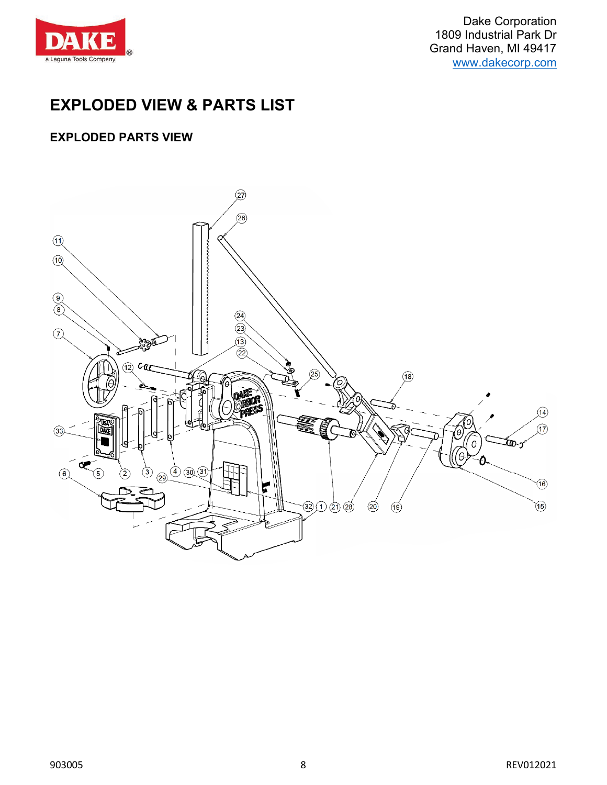

Dake Corporation 1809 Industrial Park Dr Grand Haven, MI 49417 [www.dakecorp.com](http://www.dakecorp.com/)

## **EXPLODED VIEW & PARTS LIST**

## **EXPLODED PARTS VIEW**